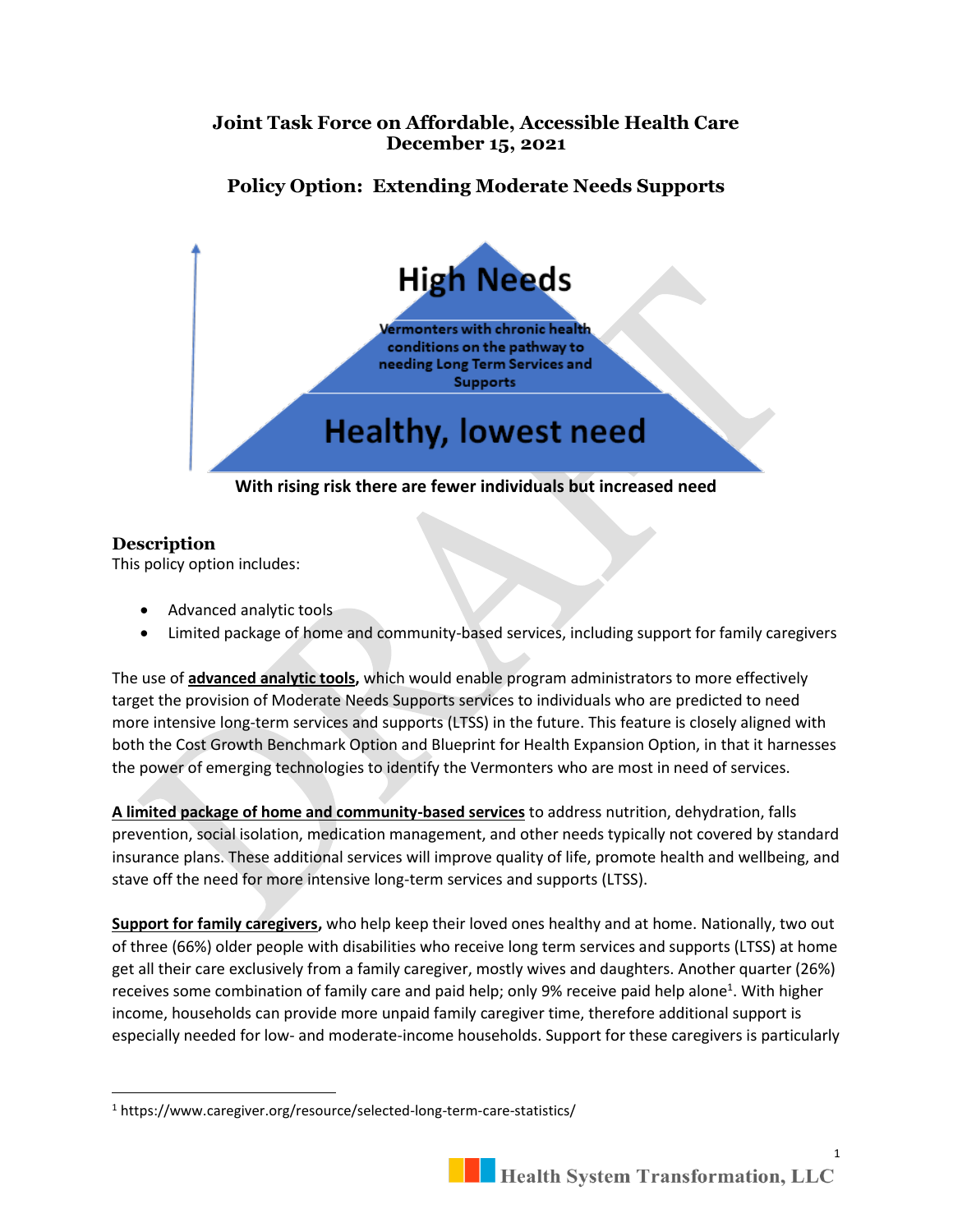# **Joint Task Force on Affordable, Accessible Health Care December 15, 2021**

# **Policy Option: Extending Moderate Needs Supports**



#### **Description**

This policy option includes:

- Advanced analytic tools
- Limited package of home and community-based services, including support for family caregivers

The use of **advanced analytic tools,** which would enable program administrators to more effectively target the provision of Moderate Needs Supports services to individuals who are predicted to need more intensive long-term services and supports (LTSS) in the future. This feature is closely aligned with both the Cost Growth Benchmark Option and Blueprint for Health Expansion Option, in that it harnesses the power of emerging technologies to identify the Vermonters who are most in need of services.

**A limited package of home and community-based services** to address nutrition, dehydration, falls prevention, social isolation, medication management, and other needs typically not covered by standard insurance plans. These additional services will improve quality of life, promote health and wellbeing, and stave off the need for more intensive long-term services and supports (LTSS).

**Support for family caregivers,** who help keep their loved ones healthy and at home. Nationally, two out of three (66%) older people with disabilities who receive long term services and supports (LTSS) at home get all their care exclusively from a family caregiver, mostly wives and daughters. Another quarter (26%) receives some combination of family care and paid help; only 9% receive paid help alone<sup>1</sup>. With higher income, households can provide more unpaid family caregiver time, therefore additional support is especially needed for low- and moderate-income households. Support for these caregivers is particularly

<sup>1</sup> https://www.caregiver.org/resource/selected-long-term-care-statistics/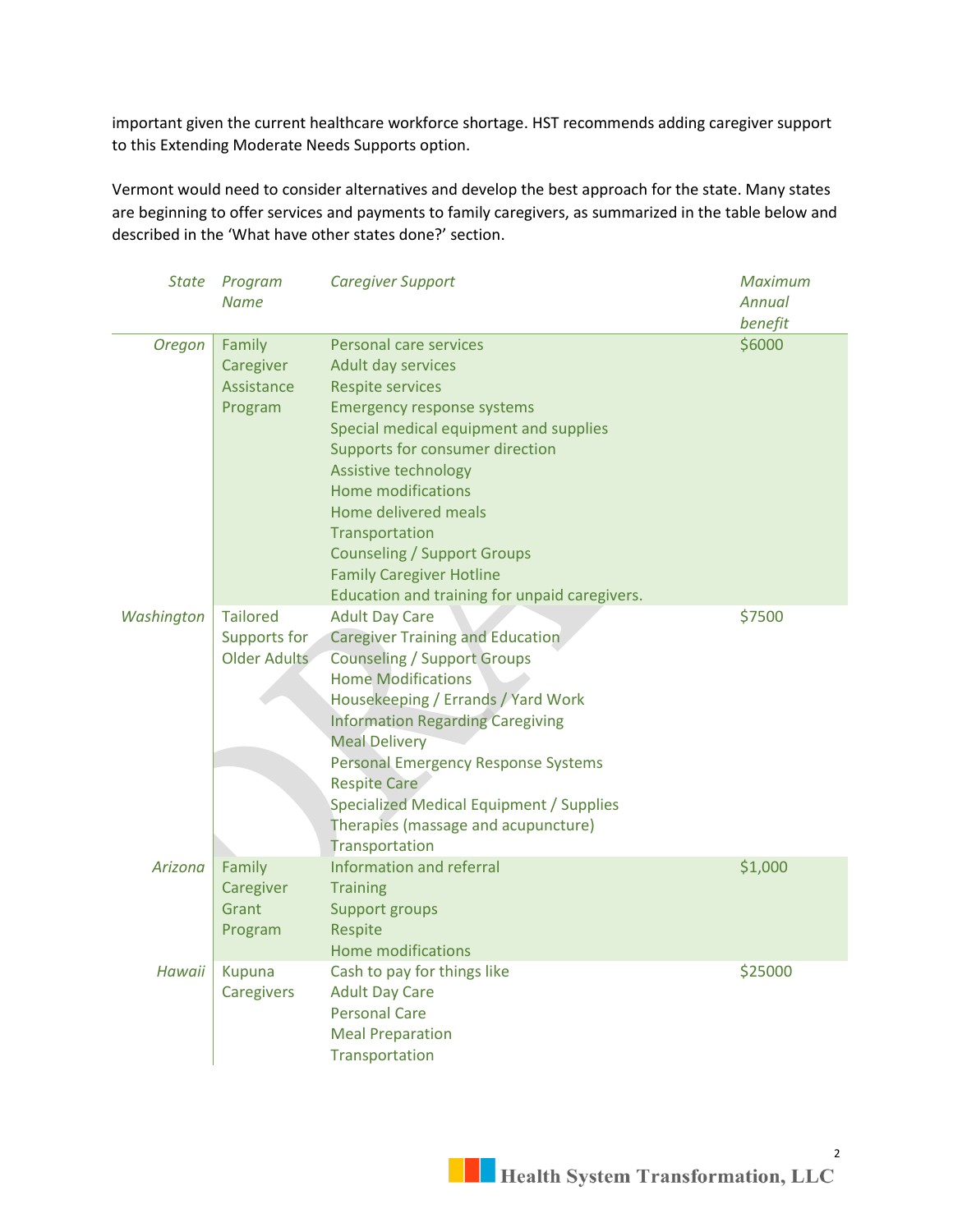important given the current healthcare workforce shortage. HST recommends adding caregiver support to this Extending Moderate Needs Supports option.

Vermont would need to consider alternatives and develop the best approach for the state. Many states are beginning to offer services and payments to family caregivers, as summarized in the table below and described in the 'What have other states done?' section.

| State         | Program<br><b>Name</b>                                 | <b>Caregiver Support</b>                                                                                                                                                                                                                                                                                                                                                                                               | <b>Maximum</b><br><b>Annual</b><br>benefit |
|---------------|--------------------------------------------------------|------------------------------------------------------------------------------------------------------------------------------------------------------------------------------------------------------------------------------------------------------------------------------------------------------------------------------------------------------------------------------------------------------------------------|--------------------------------------------|
| <b>Oregon</b> | Family<br>Caregiver<br>Assistance<br>Program           | Personal care services<br>Adult day services<br><b>Respite services</b><br><b>Emergency response systems</b><br>Special medical equipment and supplies<br>Supports for consumer direction<br>Assistive technology<br><b>Home modifications</b><br>Home delivered meals<br>Transportation<br><b>Counseling / Support Groups</b><br><b>Family Caregiver Hotline</b><br>Education and training for unpaid caregivers.     | \$6000                                     |
| Washington    | <b>Tailored</b><br>Supports for<br><b>Older Adults</b> | <b>Adult Day Care</b><br><b>Caregiver Training and Education</b><br><b>Counseling / Support Groups</b><br><b>Home Modifications</b><br>Housekeeping / Errands / Yard Work<br><b>Information Regarding Caregiving</b><br><b>Meal Delivery</b><br>Personal Emergency Response Systems<br><b>Respite Care</b><br><b>Specialized Medical Equipment / Supplies</b><br>Therapies (massage and acupuncture)<br>Transportation | \$7500                                     |
| Arizona       | Family<br>Caregiver<br>Grant<br>Program                | Information and referral<br><b>Training</b><br>Support groups<br><b>Respite</b><br><b>Home modifications</b>                                                                                                                                                                                                                                                                                                           | \$1,000                                    |
| Hawaii        | <b>Kupuna</b><br>Caregivers                            | Cash to pay for things like<br><b>Adult Day Care</b><br><b>Personal Care</b><br><b>Meal Preparation</b><br>Transportation                                                                                                                                                                                                                                                                                              | \$25000                                    |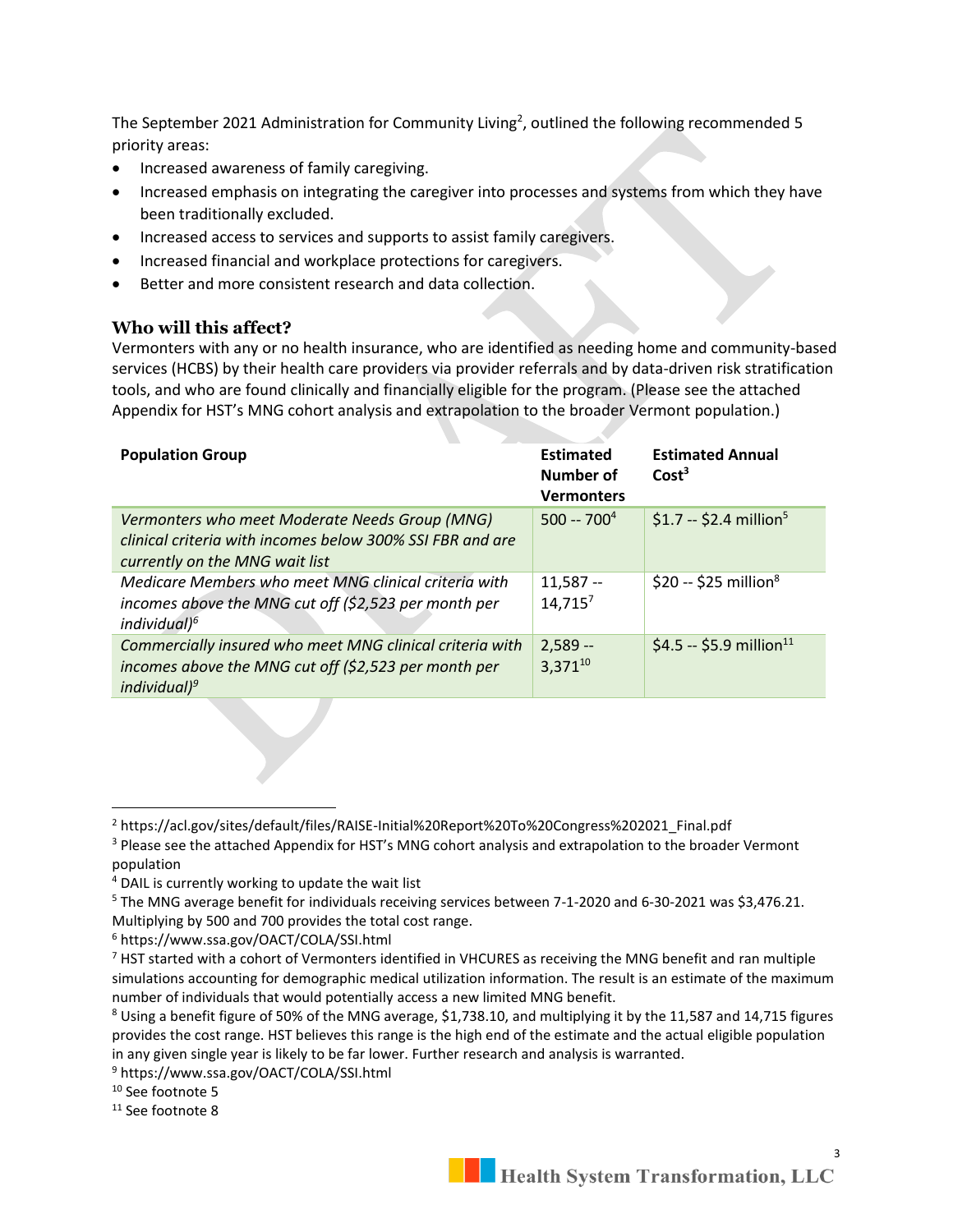The September 2021 Administration for Community Living<sup>2</sup>, outlined the following recommended 5 priority areas:

- Increased awareness of family caregiving.
- Increased emphasis on integrating the caregiver into processes and systems from which they have been traditionally excluded.
- Increased access to services and supports to assist family caregivers.
- Increased financial and workplace protections for caregivers.
- Better and more consistent research and data collection.

#### **Who will this affect?**

Vermonters with any or no health insurance, who are identified as needing home and community-based services (HCBS) by their health care providers via provider referrals and by data-driven risk stratification tools, and who are found clinically and financially eligible for the program. (Please see the attached Appendix for HST's MNG cohort analysis and extrapolation to the broader Vermont population.)

| <b>Population Group</b>                                                                                                                       | <b>Estimated</b><br>Number of<br><b>Vermonters</b> | <b>Estimated Annual</b><br>Cost <sup>3</sup> |
|-----------------------------------------------------------------------------------------------------------------------------------------------|----------------------------------------------------|----------------------------------------------|
| Vermonters who meet Moderate Needs Group (MNG)<br>clinical criteria with incomes below 300% SSI FBR and are<br>currently on the MNG wait list | $500 - 7004$                                       | \$1.7 -- \$2.4 million <sup>5</sup>          |
| Medicare Members who meet MNG clinical criteria with<br>incomes above the MNG cut off (\$2,523 per month per<br>individual) <sup>6</sup>      | $11,587 -$<br>$14,715^7$                           | \$20 -- \$25 million <sup>8</sup>            |
| Commercially insured who meet MNG clinical criteria with<br>incomes above the MNG cut off (\$2,523 per month per<br>individual) $9$           | $2,589 -$<br>$3.371^{10}$                          | \$4.5 -- \$5.9 million <sup>11</sup>         |

<sup>5</sup> The MNG average benefit for individuals receiving services between 7-1-2020 and 6-30-2021 was \$3,476.21. Multiplying by 500 and 700 provides the total cost range.

<sup>6</sup> https://www.ssa.gov/OACT/COLA/SSI.html

<sup>&</sup>lt;sup>2</sup> https://acl.gov/sites/default/files/RAISE-Initial%20Report%20To%20Congress%202021\_Final.pdf

<sup>&</sup>lt;sup>3</sup> Please see the attached Appendix for HST's MNG cohort analysis and extrapolation to the broader Vermont population

<sup>4</sup> DAIL is currently working to update the wait list

 $<sup>7</sup>$  HST started with a cohort of Vermonters identified in VHCURES as receiving the MNG benefit and ran multiple</sup> simulations accounting for demographic medical utilization information. The result is an estimate of the maximum number of individuals that would potentially access a new limited MNG benefit.

<sup>8</sup> Using a benefit figure of 50% of the MNG average, \$1,738.10, and multiplying it by the 11,587 and 14,715 figures provides the cost range. HST believes this range is the high end of the estimate and the actual eligible population in any given single year is likely to be far lower. Further research and analysis is warranted.

<sup>9</sup> https://www.ssa.gov/OACT/COLA/SSI.html

<sup>&</sup>lt;sup>10</sup> See footnote 5

<sup>&</sup>lt;sup>11</sup> See footnote 8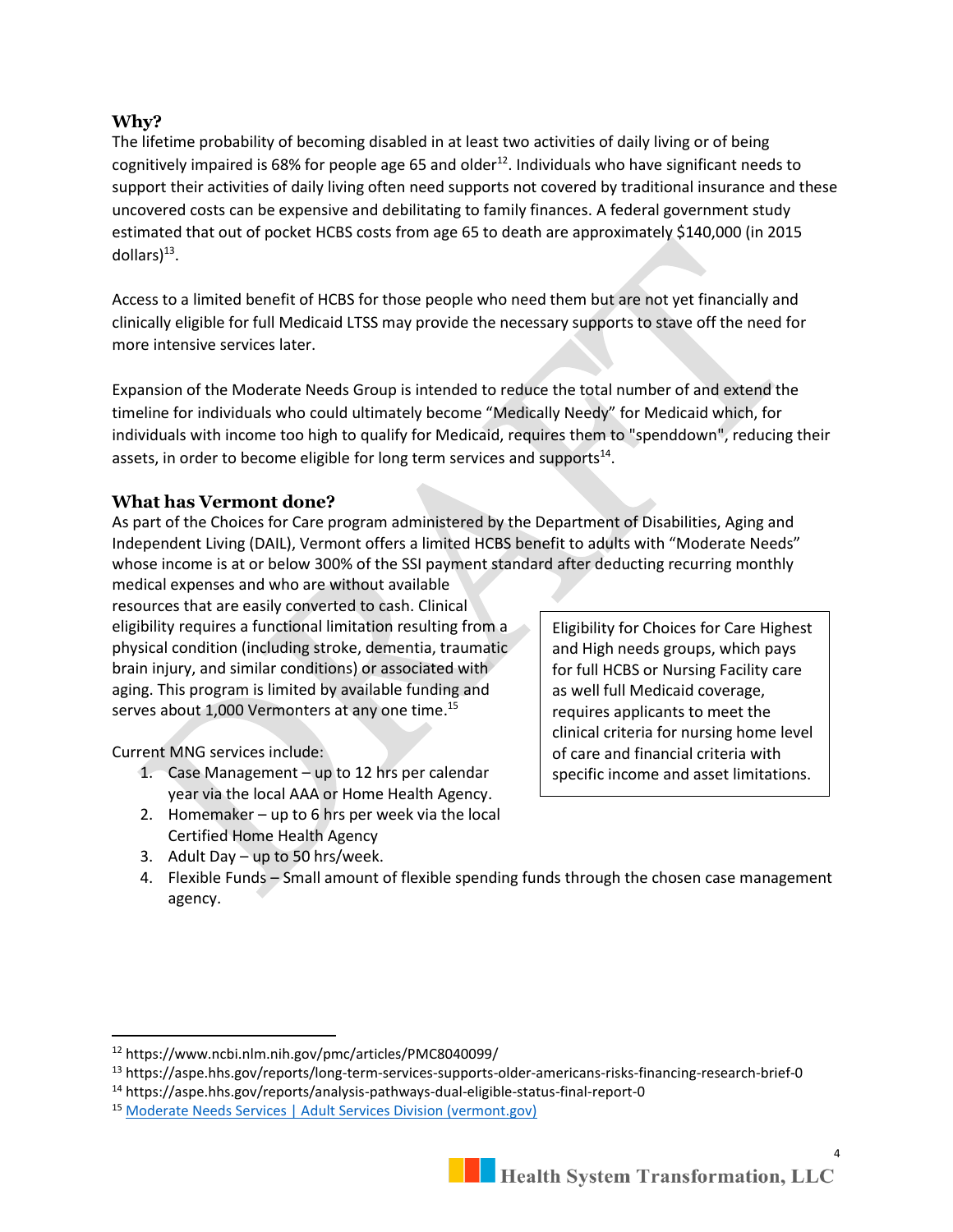#### **Why?**

The lifetime probability of becoming disabled in at least two activities of daily living or of being cognitively impaired is 68% for people age 65 and older<sup>12</sup>. Individuals who have significant needs to support their activities of daily living often need supports not covered by traditional insurance and these uncovered costs can be expensive and debilitating to family finances. A federal government study estimated that out of pocket HCBS costs from age 65 to death are approximately \$140,000 (in 2015 dollars $)^{13}$ .

Access to a limited benefit of HCBS for those people who need them but are not yet financially and clinically eligible for full Medicaid LTSS may provide the necessary supports to stave off the need for more intensive services later.

Expansion of the Moderate Needs Group is intended to reduce the total number of and extend the timeline for individuals who could ultimately become "Medically Needy" for Medicaid which, for individuals with income too high to qualify for Medicaid, requires them to "spenddown", reducing their assets, in order to become eligible for long term services and supports $^{14}$ .

#### **What has Vermont done?**

As part of the Choices for Care program administered by the Department of Disabilities, Aging and Independent Living (DAIL), Vermont offers a limited HCBS benefit to adults with "Moderate Needs" whose income is at or below 300% of the SSI payment standard after deducting recurring monthly

medical expenses and who are without available resources that are easily converted to cash. Clinical eligibility requires a functional limitation resulting from a physical condition (including stroke, dementia, traumatic brain injury, and similar conditions) or associated with aging. This program is limited by available funding and serves about 1,000 Vermonters at any one time.<sup>15</sup>

Current MNG services include:

- 1. Case Management up to 12 hrs per calendar year via the local AAA or Home Health Agency.
- 2. Homemaker up to  $6$  hrs per week via the local Certified Home Health Agency
- 3. Adult Day up to 50 hrs/week.

Eligibility for Choices for Care Highest and High needs groups, which pays for full HCBS or Nursing Facility care as well full Medicaid coverage, requires applicants to meet the clinical criteria for nursing home level of care and financial criteria with specific income and asset limitations.

4. Flexible Funds – Small amount of flexible spending funds through the chosen case management agency.

<sup>12</sup> https://www.ncbi.nlm.nih.gov/pmc/articles/PMC8040099/

<sup>13</sup> https://aspe.hhs.gov/reports/long-term-services-supports-older-americans-risks-financing-research-brief-0

<sup>14</sup> https://aspe.hhs.gov/reports/analysis-pathways-dual-eligible-status-final-report-0

<sup>15</sup> [Moderate Needs Services | Adult Services Division \(vermont.gov\)](https://asd.vermont.gov/services/moderate-needs-services)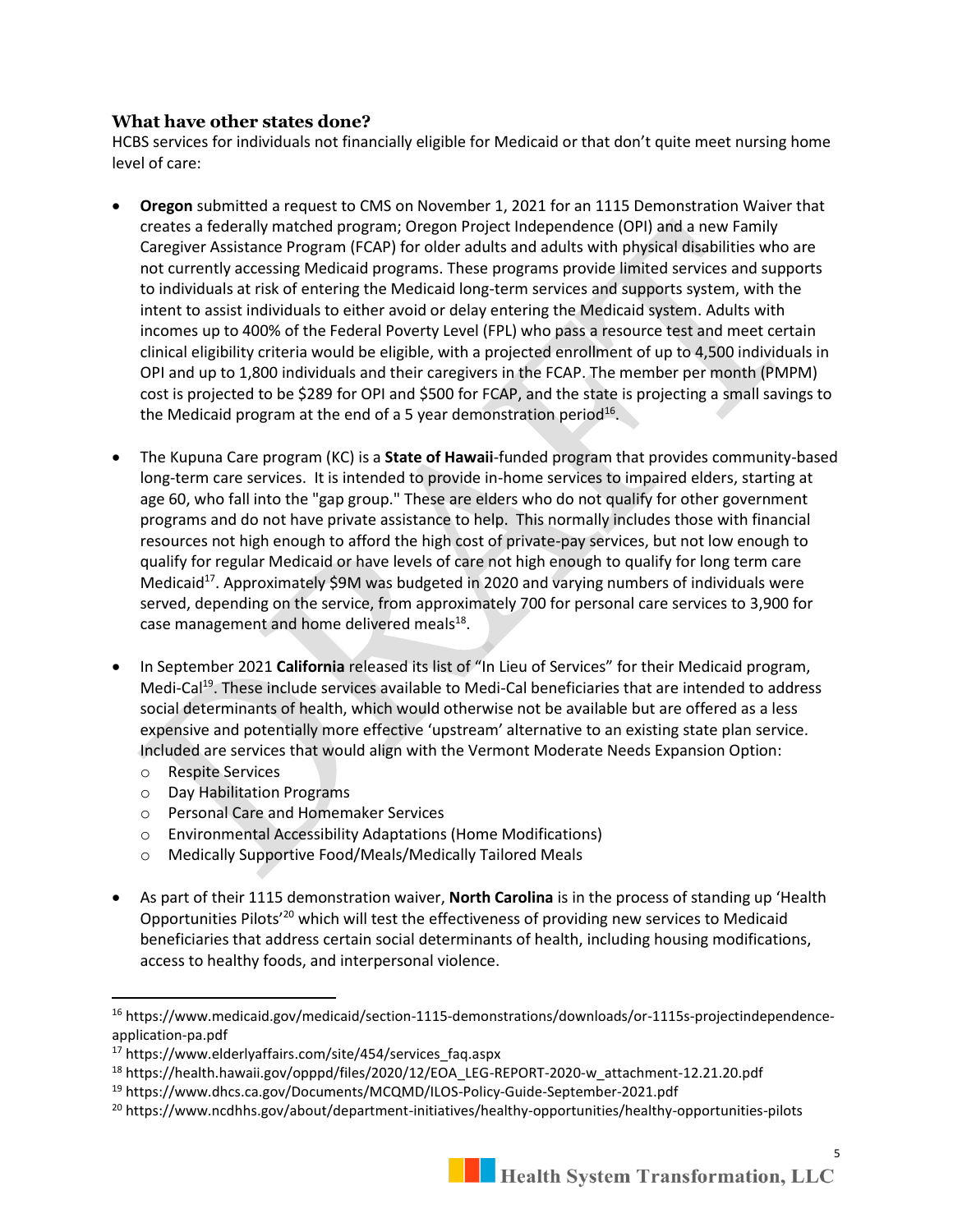#### **What have other states done?**

HCBS services for individuals not financially eligible for Medicaid or that don't quite meet nursing home level of care:

- **Oregon** submitted a request to CMS on November 1, 2021 for an 1115 Demonstration Waiver that creates a federally matched program; Oregon Project Independence (OPI) and a new Family Caregiver Assistance Program (FCAP) for older adults and adults with physical disabilities who are not currently accessing Medicaid programs. These programs provide limited services and supports to individuals at risk of entering the Medicaid long-term services and supports system, with the intent to assist individuals to either avoid or delay entering the Medicaid system. Adults with incomes up to 400% of the Federal Poverty Level (FPL) who pass a resource test and meet certain clinical eligibility criteria would be eligible, with a projected enrollment of up to 4,500 individuals in OPI and up to 1,800 individuals and their caregivers in the FCAP. The member per month (PMPM) cost is projected to be \$289 for OPI and \$500 for FCAP, and the state is projecting a small savings to the Medicaid program at the end of a 5 year demonstration period $^{16}$ .
- The Kupuna Care program (KC) is a **State of Hawaii**-funded program that provides community-based long-term care services. It is intended to provide in-home services to impaired elders, starting at age 60, who fall into the "gap group." These are elders who do not qualify for other government programs and do not have private assistance to help. This normally includes those with financial resources not high enough to afford the high cost of private-pay services, but not low enough to qualify for regular Medicaid or have levels of care not high enough to qualify for long term care Medicaid<sup>17</sup>. Approximately \$9M was budgeted in 2020 and varying numbers of individuals were served, depending on the service, from approximately 700 for personal care services to 3,900 for case management and home delivered meals<sup>18</sup>.
- In September 2021 **California** released its list of "In Lieu of Services" for their Medicaid program, Medi-Cal<sup>19</sup>. These include services available to Medi-Cal beneficiaries that are intended to address social determinants of health, which would otherwise not be available but are offered as a less expensive and potentially more effective 'upstream' alternative to an existing state plan service. Included are services that would align with the Vermont Moderate Needs Expansion Option:
	- o Respite Services
	- o Day Habilitation Programs
	- o Personal Care and Homemaker Services
	- o Environmental Accessibility Adaptations (Home Modifications)
	- o Medically Supportive Food/Meals/Medically Tailored Meals
- As part of their 1115 demonstration waiver, **North Carolina** is in the process of standing up 'Health Opportunities Pilots'<sup>20</sup> which will test the effectiveness of providing new services to Medicaid beneficiaries that address certain social determinants of health, including housing modifications, access to healthy foods, and interpersonal violence.

<sup>16</sup> https://www.medicaid.gov/medicaid/section-1115-demonstrations/downloads/or-1115s-projectindependenceapplication-pa.pdf

<sup>17</sup> https://www.elderlyaffairs.com/site/454/services\_faq.aspx

<sup>18</sup> https://health.hawaii.gov/opppd/files/2020/12/EOA\_LEG-REPORT-2020-w\_attachment-12.21.20.pdf

<sup>19</sup> https://www.dhcs.ca.gov/Documents/MCQMD/ILOS-Policy-Guide-September-2021.pdf

<sup>&</sup>lt;sup>20</sup> https://www.ncdhhs.gov/about/department-initiatives/healthy-opportunities/healthy-opportunities-pilots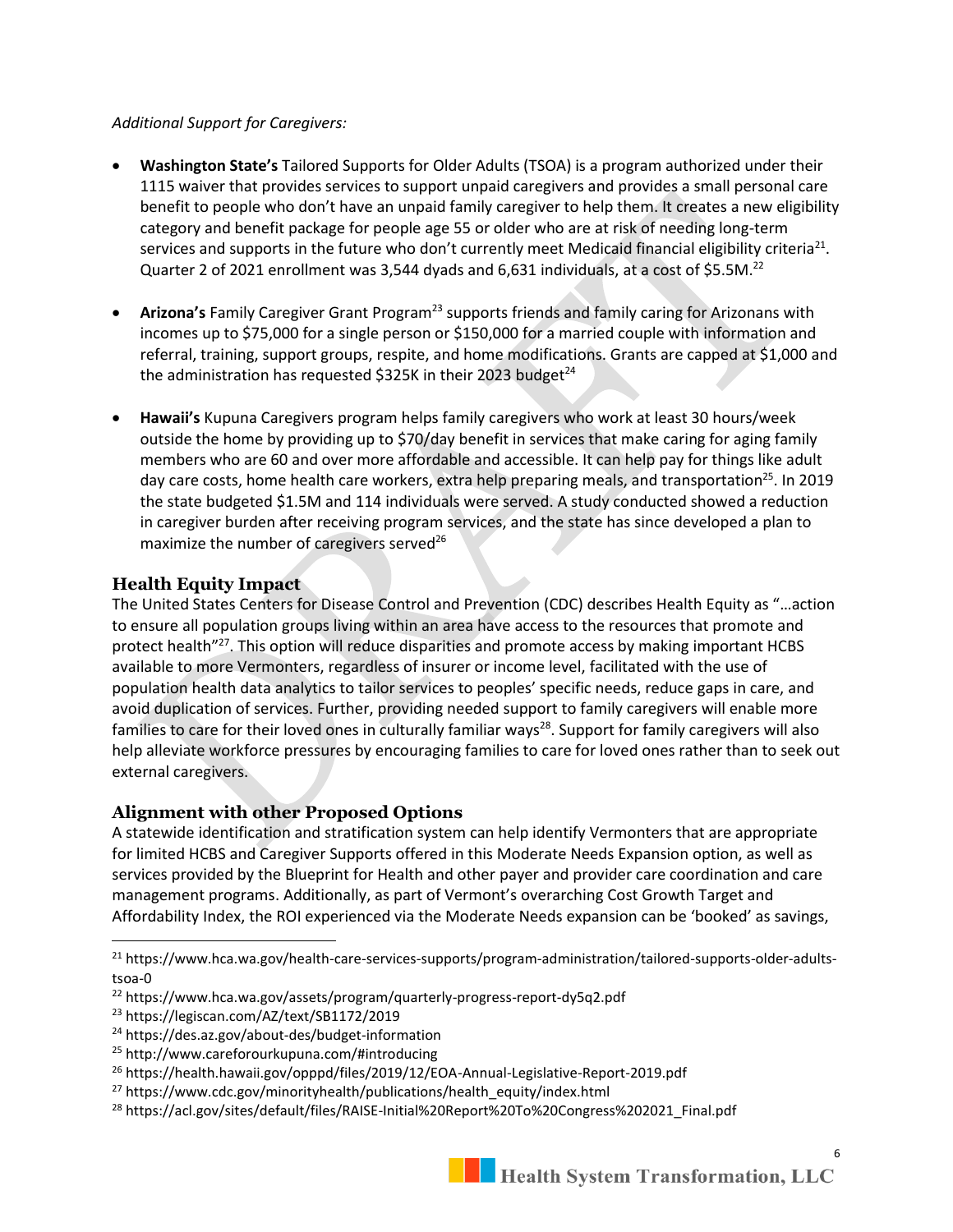#### *Additional Support for Caregivers:*

- **Washington State's** Tailored Supports for Older Adults (TSOA) is a program authorized under their 1115 waiver that provides services to support unpaid caregivers and provides a small personal care benefit to people who don't have an unpaid family caregiver to help them. It creates a new eligibility category and benefit package for people age 55 or older who are at risk of needing long-term services and supports in the future who don't currently meet Medicaid financial eligibility criteria<sup>21</sup>. Quarter 2 of 2021 enrollment was 3,544 dyads and 6,631 individuals, at a cost of \$5.5M.<sup>22</sup>
- **Arizona's** Family Caregiver Grant Program<sup>23</sup> supports friends and family caring for Arizonans with incomes up to \$75,000 for a single person or \$150,000 for a married couple with information and referral, training, support groups, respite, and home modifications. Grants are capped at \$1,000 and the administration has requested \$325K in their 2023 budget $^{24}$
- **Hawaii's** Kupuna Caregivers program helps family caregivers who work at least 30 hours/week outside the home by providing up to \$70/day benefit in services that make caring for aging family members who are 60 and over more affordable and accessible. It can help pay for things like adult day care costs, home health care workers, extra help preparing meals, and transportation<sup>25</sup>. In 2019 the state budgeted \$1.5M and 114 individuals were served. A study conducted showed a reduction in caregiver burden after receiving program services, and the state has since developed a plan to maximize the number of caregivers served $^{26}$

### **Health Equity Impact**

The United States Centers for Disease Control and Prevention (CDC) describes Health Equity as "…action to ensure all population groups living within an area have access to the resources that promote and protect health<sup>"27</sup>. This option will reduce disparities and promote access by making important HCBS available to more Vermonters, regardless of insurer or income level, facilitated with the use of population health data analytics to tailor services to peoples' specific needs, reduce gaps in care, and avoid duplication of services. Further, providing needed support to family caregivers will enable more families to care for their loved ones in culturally familiar ways<sup>28</sup>. Support for family caregivers will also help alleviate workforce pressures by encouraging families to care for loved ones rather than to seek out external caregivers.

### **Alignment with other Proposed Options**

A statewide identification and stratification system can help identify Vermonters that are appropriate for limited HCBS and Caregiver Supports offered in this Moderate Needs Expansion option, as well as services provided by the Blueprint for Health and other payer and provider care coordination and care management programs. Additionally, as part of Vermont's overarching Cost Growth Target and Affordability Index, the ROI experienced via the Moderate Needs expansion can be 'booked' as savings,

<sup>&</sup>lt;sup>21</sup> https://www.hca.wa.gov/health-care-services-supports/program-administration/tailored-supports-older-adultstsoa-0

<sup>22</sup> https://www.hca.wa.gov/assets/program/quarterly-progress-report-dy5q2.pdf

<sup>23</sup> https://legiscan.com/AZ/text/SB1172/2019

<sup>24</sup> https://des.az.gov/about-des/budget-information

<sup>25</sup> http://www.careforourkupuna.com/#introducing

<sup>26</sup> https://health.hawaii.gov/opppd/files/2019/12/EOA-Annual-Legislative-Report-2019.pdf

<sup>&</sup>lt;sup>27</sup> https://www.cdc.gov/minorityhealth/publications/health\_equity/index.html

<sup>28</sup> https://acl.gov/sites/default/files/RAISE-Initial%20Report%20To%20Congress%202021\_Final.pdf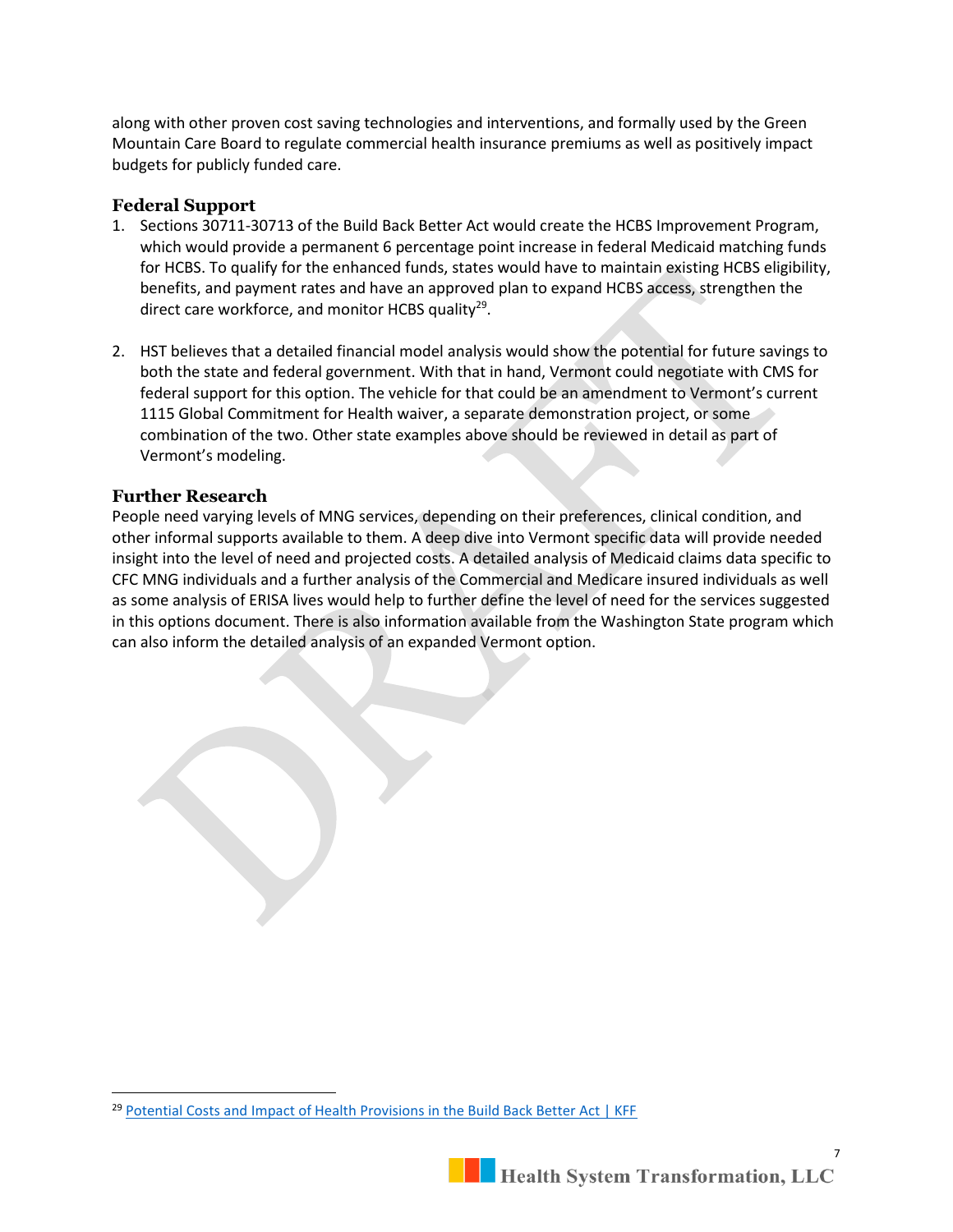along with other proven cost saving technologies and interventions, and formally used by the Green Mountain Care Board to regulate commercial health insurance premiums as well as positively impact budgets for publicly funded care.

#### **Federal Support**

- 1. Sections 30711-30713 of the Build Back Better Act would create the HCBS Improvement Program, which would provide a permanent 6 percentage point increase in federal Medicaid matching funds for HCBS. To qualify for the enhanced funds, states would have to maintain existing HCBS eligibility, benefits, and payment rates and have an approved plan to expand HCBS access, strengthen the direct care workforce, and monitor HCBS quality<sup>29</sup>.
- 2. HST believes that a detailed financial model analysis would show the potential for future savings to both the state and federal government. With that in hand, Vermont could negotiate with CMS for federal support for this option. The vehicle for that could be an amendment to Vermont's current 1115 Global Commitment for Health waiver, a separate demonstration project, or some combination of the two. Other state examples above should be reviewed in detail as part of Vermont's modeling.

#### **Further Research**

People need varying levels of MNG services, depending on their preferences, clinical condition, and other informal supports available to them. A deep dive into Vermont specific data will provide needed insight into the level of need and projected costs. A detailed analysis of Medicaid claims data specific to CFC MNG individuals and a further analysis of the Commercial and Medicare insured individuals as well as some analysis of ERISA lives would help to further define the level of need for the services suggested in this options document. There is also information available from the Washington State program which can also inform the detailed analysis of an expanded Vermont option.

<sup>&</sup>lt;sup>29</sup> [Potential Costs and Impact of Health Provisions in the Build Back Better Act | KFF](https://www.kff.org/health-costs/issue-brief/potential-costs-and-impact-of-health-provisions-in-the-build-back-better-act/#nine)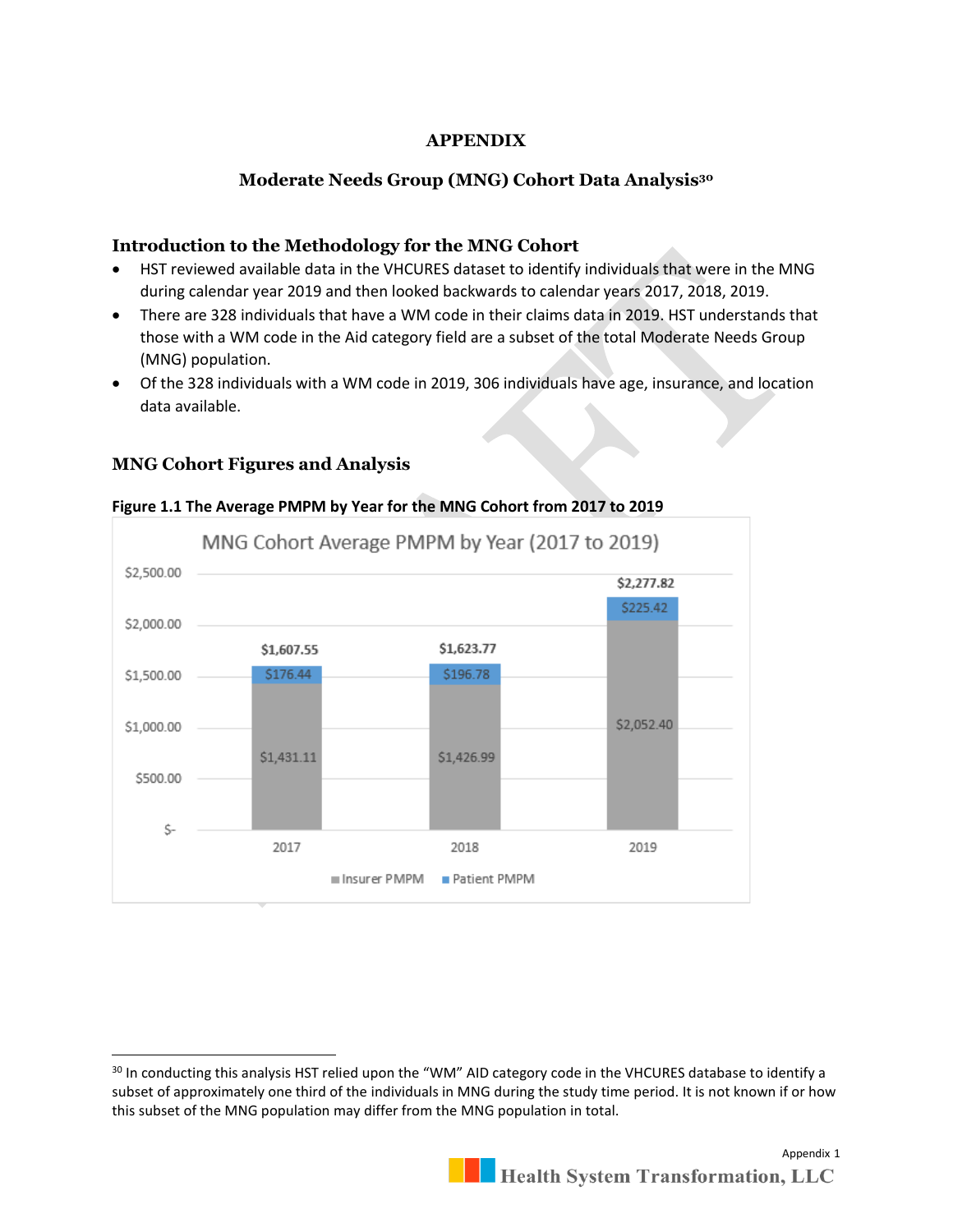### **APPENDIX**

### **Moderate Needs Group (MNG) Cohort Data Analysis<sup>30</sup>**

### **Introduction to the Methodology for the MNG Cohort**

- HST reviewed available data in the VHCURES dataset to identify individuals that were in the MNG during calendar year 2019 and then looked backwards to calendar years 2017, 2018, 2019.
- There are 328 individuals that have a WM code in their claims data in 2019. HST understands that those with a WM code in the Aid category field are a subset of the total Moderate Needs Group (MNG) population.
- Of the 328 individuals with a WM code in 2019, 306 individuals have age, insurance, and location data available.

### **MNG Cohort Figures and Analysis**



#### **Figure 1.1 The Average PMPM by Year for the MNG Cohort from 2017 to 2019**

<sup>&</sup>lt;sup>30</sup> In conducting this analysis HST relied upon the "WM" AID category code in the VHCURES database to identify a subset of approximately one third of the individuals in MNG during the study time period. It is not known if or how this subset of the MNG population may differ from the MNG population in total.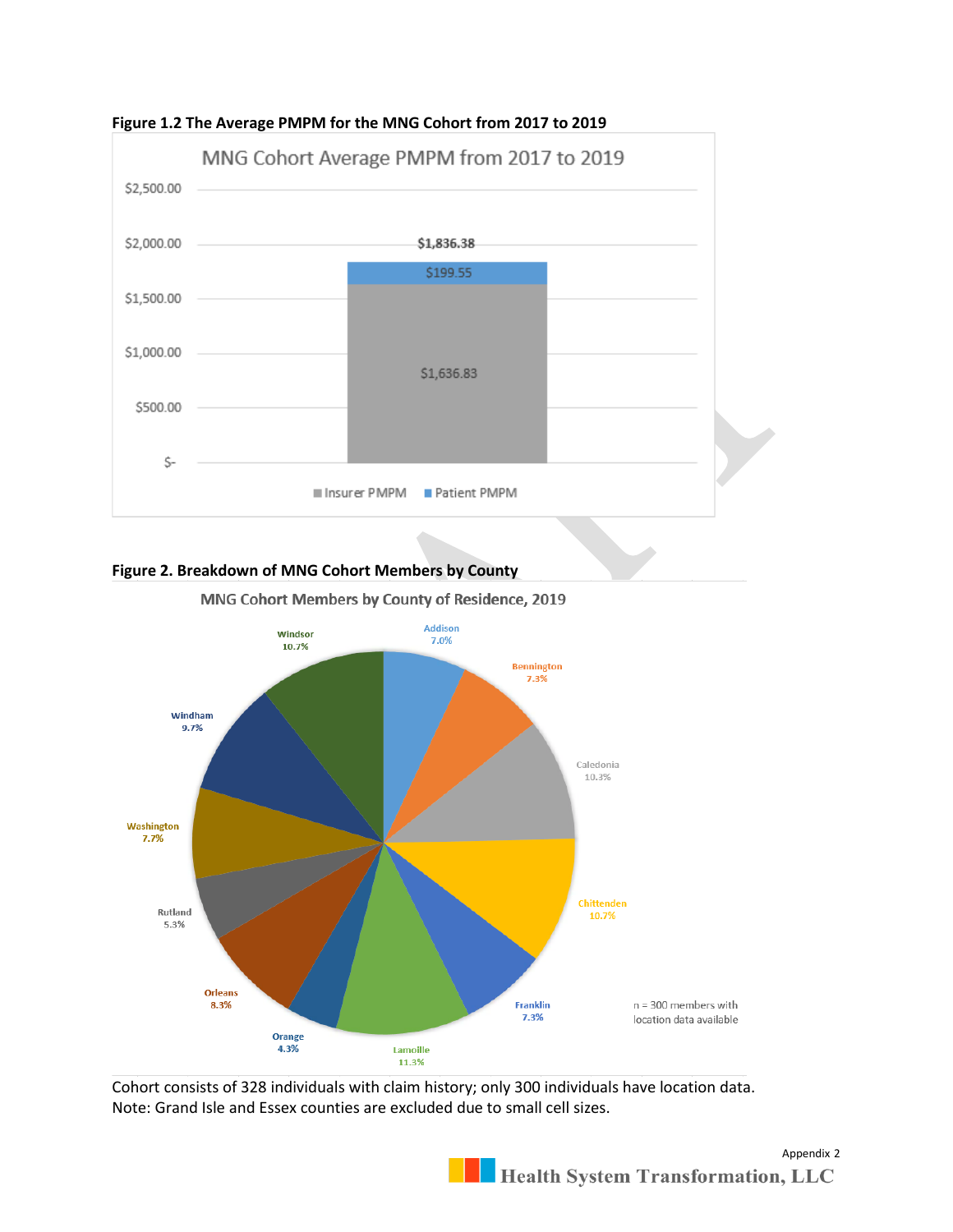

#### **Figure 1.2 The Average PMPM for the MNG Cohort from 2017 to 2019**

#### **Figure 2. Breakdown of MNG Cohort Members by County**





Cohort consists of 328 individuals with claim history; only 300 individuals have location data. Note: Grand Isle and Essex counties are excluded due to small cell sizes.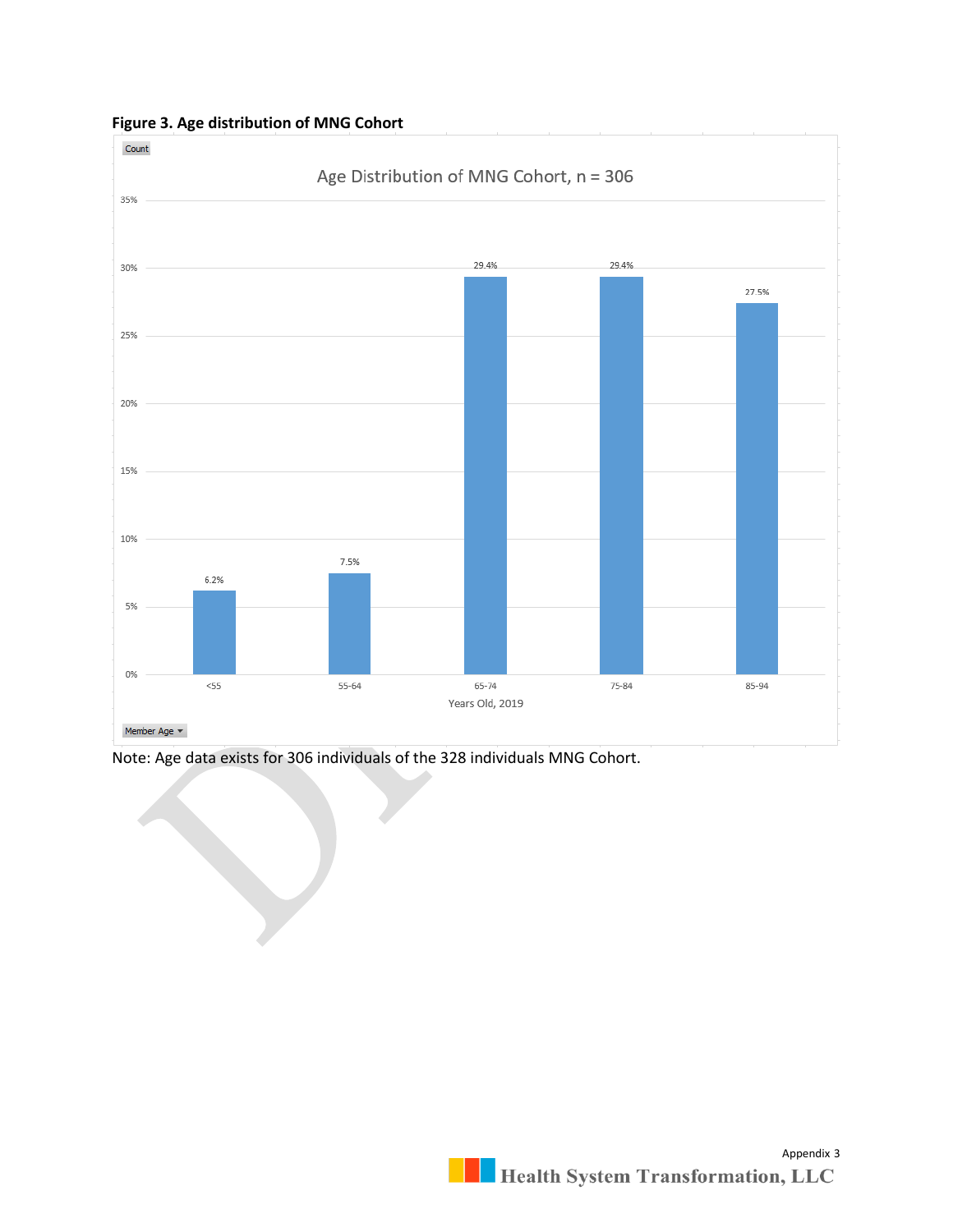

**Figure 3. Age distribution of MNG Cohort**

Note: Age data exists for 306 individuals of the 328 individuals MNG Cohort.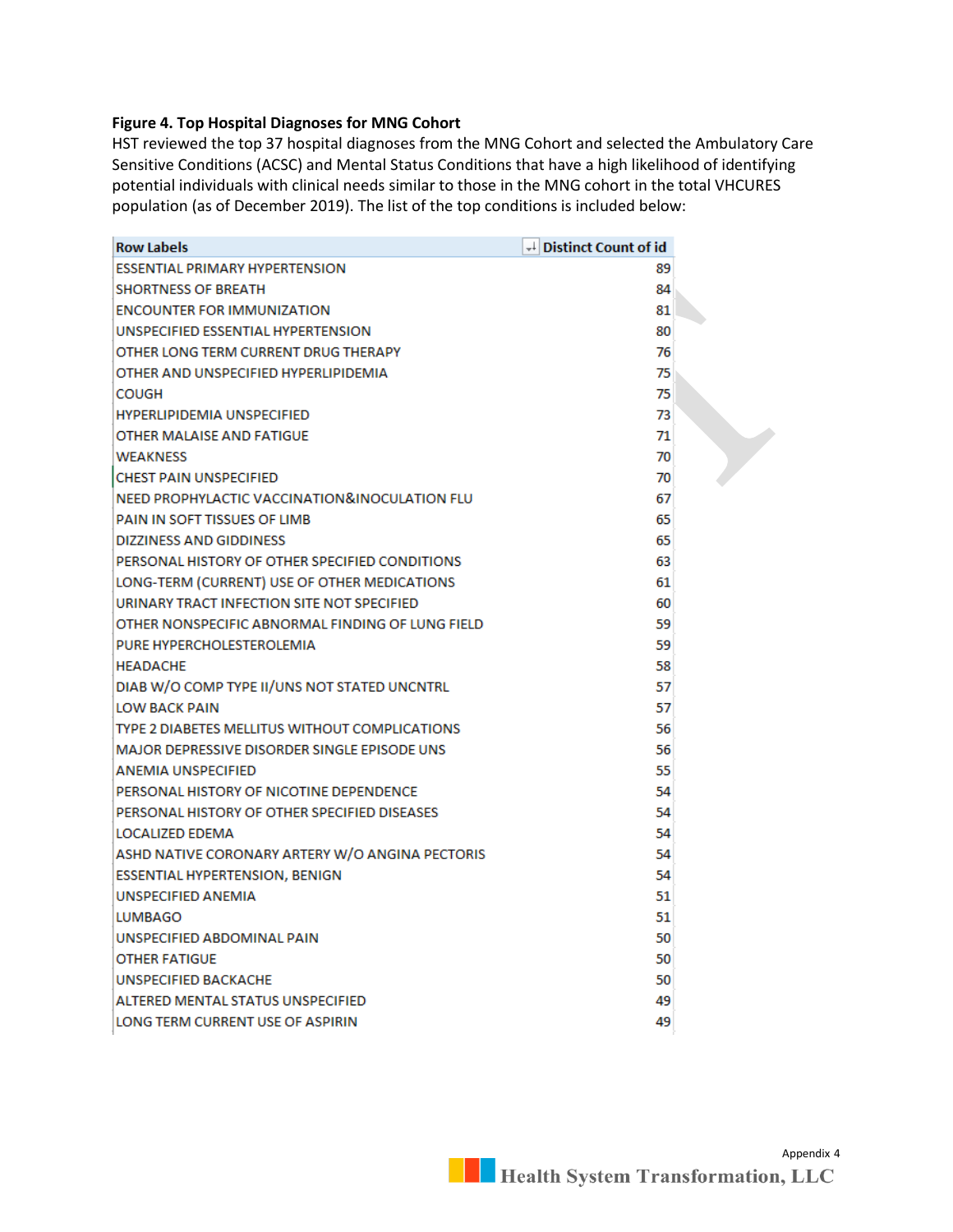#### **Figure 4. Top Hospital Diagnoses for MNG Cohort**

HST reviewed the top 37 hospital diagnoses from the MNG Cohort and selected the Ambulatory Care Sensitive Conditions (ACSC) and Mental Status Conditions that have a high likelihood of identifying potential individuals with clinical needs similar to those in the MNG cohort in the total VHCURES population (as of December 2019). The list of the top conditions is included below:

| <b>Row Labels</b>                                   | $\downarrow$ Distinct Count of id |  |
|-----------------------------------------------------|-----------------------------------|--|
| <b>ESSENTIAL PRIMARY HYPERTENSION</b>               | 89                                |  |
| <b>SHORTNESS OF BREATH</b>                          | 84                                |  |
| <b>ENCOUNTER FOR IMMUNIZATION</b>                   | 81                                |  |
| UNSPECIFIED ESSENTIAL HYPERTENSION                  | 80                                |  |
| OTHER LONG TERM CURRENT DRUG THERAPY                | 76                                |  |
| OTHER AND UNSPECIFIED HYPERLIPIDEMIA                | 75                                |  |
| <b>COUGH</b>                                        | 75                                |  |
| <b>HYPERLIPIDEMIA UNSPECIFIED</b>                   | 73                                |  |
| OTHER MALAISE AND FATIGUE                           | 71                                |  |
| <b>WEAKNESS</b>                                     | 70                                |  |
| <b>CHEST PAIN UNSPECIFIED</b>                       | 70                                |  |
| NEED PROPHYLACTIC VACCINATION&INOCULATION FLU       | 67                                |  |
| PAIN IN SOFT TISSUES OF LIMB                        | 65                                |  |
| <b>DIZZINESS AND GIDDINESS</b>                      | 65                                |  |
| PERSONAL HISTORY OF OTHER SPECIFIED CONDITIONS      | 63                                |  |
| LONG-TERM (CURRENT) USE OF OTHER MEDICATIONS        | 61                                |  |
| URINARY TRACT INFECTION SITE NOT SPECIFIED          | 60                                |  |
| OTHER NONSPECIFIC ABNORMAL FINDING OF LUNG FIELD    | 59                                |  |
| PURE HYPERCHOLESTEROLEMIA                           | 59                                |  |
| <b>HEADACHE</b>                                     | 58                                |  |
| DIAB W/O COMP TYPE II/UNS NOT STATED UNCNTRL        | 57                                |  |
| LOW BACK PAIN                                       | 57                                |  |
| TYPE 2 DIABETES MELLITUS WITHOUT COMPLICATIONS      | 56                                |  |
| <b>MAJOR DEPRESSIVE DISORDER SINGLE EPISODE UNS</b> | 56                                |  |
| ANEMIA UNSPECIFIED                                  | 55                                |  |
| PERSONAL HISTORY OF NICOTINE DEPENDENCE             | 54                                |  |
| PERSONAL HISTORY OF OTHER SPECIFIED DISEASES        | 54                                |  |
| LOCALIZED EDEMA                                     | 54                                |  |
| ASHD NATIVE CORONARY ARTERY W/O ANGINA PECTORIS     | 54                                |  |
| ESSENTIAL HYPERTENSION, BENIGN                      | 54                                |  |
| <b>UNSPECIFIED ANEMIA</b>                           | 51                                |  |
| LUMBAGO                                             | 51                                |  |
| UNSPECIFIED ABDOMINAL PAIN                          | 50                                |  |
| <b>OTHER FATIGUE</b>                                | 50                                |  |
| <b>UNSPECIFIED BACKACHE</b>                         | 50                                |  |
| ALTERED MENTAL STATUS UNSPECIFIED                   | 49                                |  |
| LONG TERM CURRENT USE OF ASPIRIN                    | 49                                |  |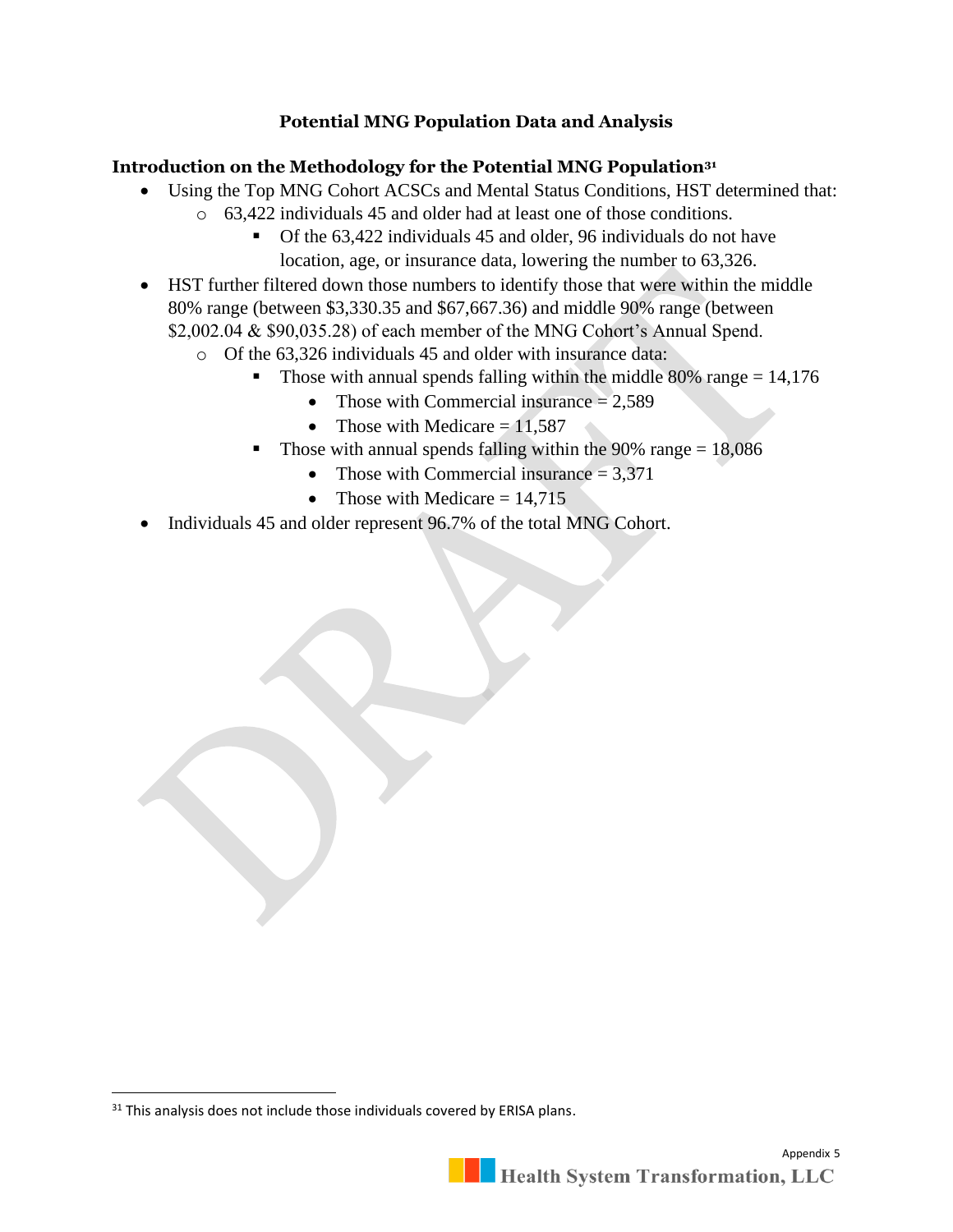# **Potential MNG Population Data and Analysis**

### **Introduction on the Methodology for the Potential MNG Population<sup>31</sup>**

- Using the Top MNG Cohort ACSCs and Mental Status Conditions, HST determined that:
	- o 63,422 individuals 45 and older had at least one of those conditions.
		- Of the 63,422 individuals 45 and older, 96 individuals do not have location, age, or insurance data, lowering the number to 63,326.
- HST further filtered down those numbers to identify those that were within the middle 80% range (between \$3,330.35 and \$67,667.36) and middle 90% range (between \$2,002.04 & \$90,035.28) of each member of the MNG Cohort's Annual Spend.
	- o Of the 63,326 individuals 45 and older with insurance data:
		- **•** Those with annual spends falling within the middle 80% range  $= 14,176$ 
			- Those with Commercial insurance  $= 2,589$ 
				- Those with Medicare  $= 11.587$
		- Those with annual spends falling within the  $90\%$  range = 18,086
			- Those with Commercial insurance  $= 3,371$
			- Those with Medicare  $= 14.715$
- Individuals 45 and older represent 96.7% of the total MNG Cohort.

<sup>&</sup>lt;sup>31</sup> This analysis does not include those individuals covered by ERISA plans.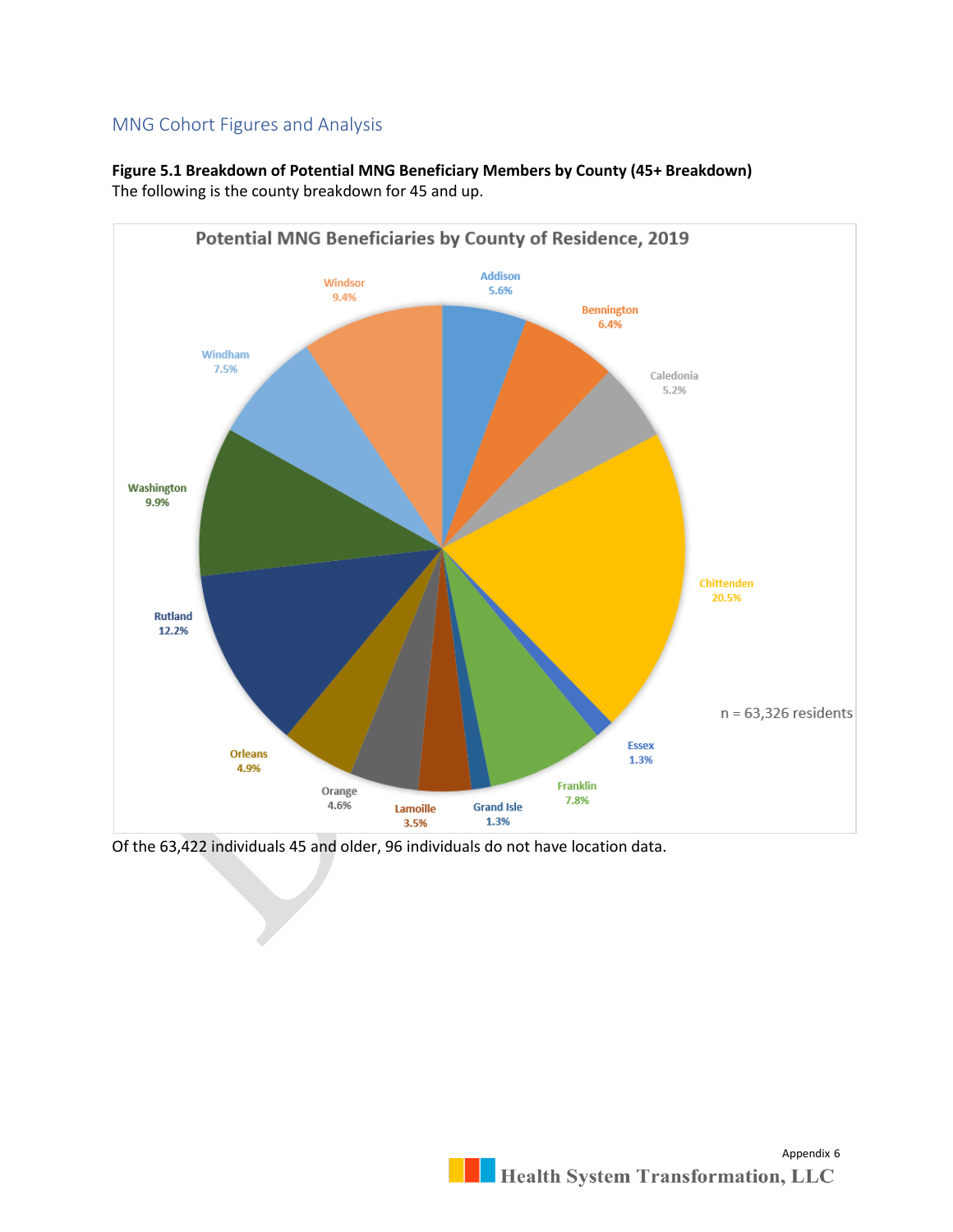# MNG Cohort Figures and Analysis



**Figure 5.1 Breakdown of Potential MNG Beneficiary Members by County (45+ Breakdown)** The following is the county breakdown for 45 and up.

Of the 63,422 individuals 45 and older, 96 individuals do not have location data.